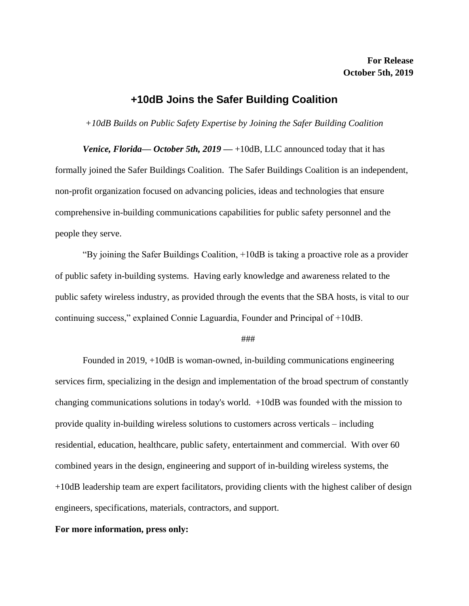## **+10dB Joins the Safer Building Coalition**

*+10dB Builds on Public Safety Expertise by Joining the Safer Building Coalition*

*Venice, Florida—October 5th, 2019* — +10dB, LLC announced today that it has formally joined the Safer Buildings Coalition. The Safer Buildings Coalition is an independent, non-profit organization focused on advancing policies, ideas and technologies that ensure comprehensive in-building communications capabilities for public safety personnel and the people they serve.

"By joining the Safer Buildings Coalition, +10dB is taking a proactive role as a provider of public safety in-building systems. Having early knowledge and awareness related to the public safety wireless industry, as provided through the events that the SBA hosts, is vital to our continuing success," explained Connie Laguardia, Founder and Principal of +10dB.

## ###

Founded in 2019, +10dB is woman-owned, in-building communications engineering services firm, specializing in the design and implementation of the broad spectrum of constantly changing communications solutions in today's world. +10dB was founded with the mission to provide quality in-building wireless solutions to customers across verticals – including residential, education, healthcare, public safety, entertainment and commercial. With over 60 combined years in the design, engineering and support of in-building wireless systems, the +10dB leadership team are expert facilitators, providing clients with the highest caliber of design engineers, specifications, materials, contractors, and support.

## **For more information, press only:**